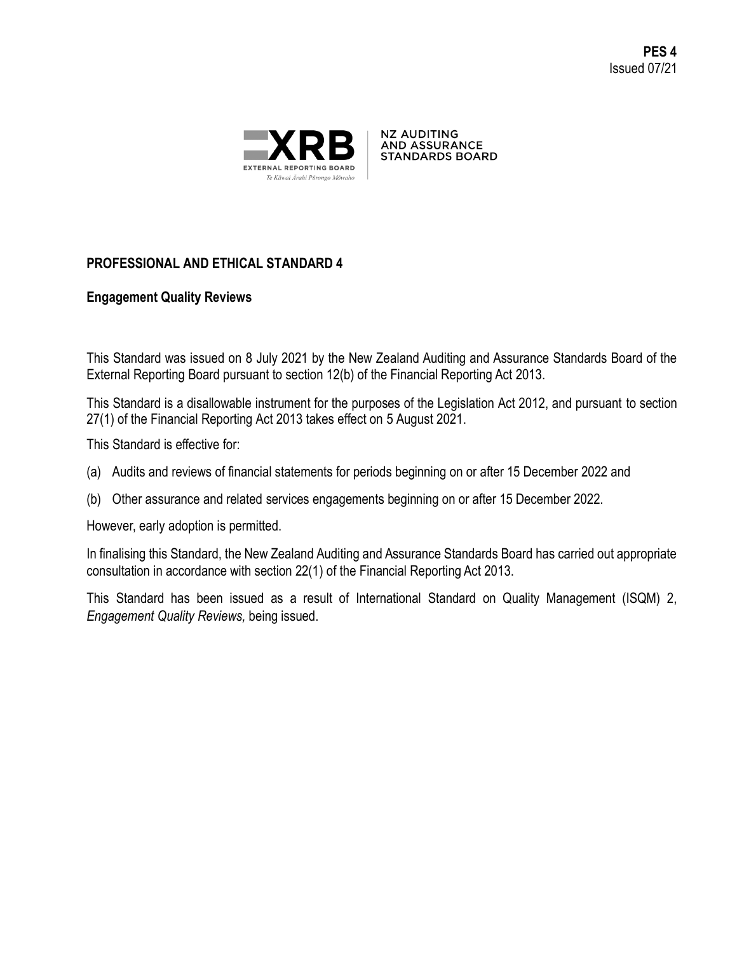

**NZ AUDITING AND ASSURANCE STANDARDS BOARD** 

# **PROFESSIONAL AND ETHICAL STANDARD 4**

# **Engagement Quality Reviews**

This Standard was issued on 8 July 2021 by the New Zealand Auditing and Assurance Standards Board of the External Reporting Board pursuant to section 12(b) of the Financial Reporting Act 2013.

This Standard is a disallowable instrument for the purposes of the Legislation Act 2012, and pursuant to section 27(1) of the Financial Reporting Act 2013 takes effect on 5 August 2021.

This Standard is effective for:

- (a) Audits and reviews of financial statements for periods beginning on or after 15 December 2022 and
- (b) Other assurance and related services engagements beginning on or after 15 December 2022.

However, early adoption is permitted.

In finalising this Standard, the New Zealand Auditing and Assurance Standards Board has carried out appropriate consultation in accordance with section 22(1) of the Financial Reporting Act 2013.

This Standard has been issued as a result of International Standard on Quality Management (ISQM) 2, *Engagement Quality Reviews,* being issued.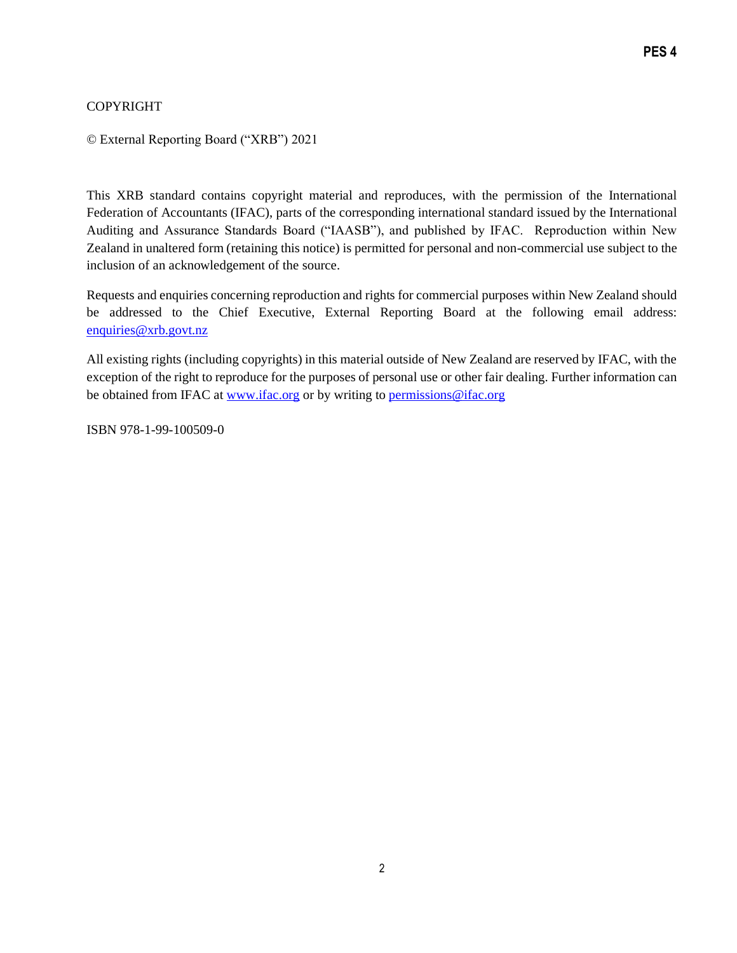## COPYRIGHT

© External Reporting Board ("XRB") 2021

This XRB standard contains copyright material and reproduces, with the permission of the International Federation of Accountants (IFAC), parts of the corresponding international standard issued by the International Auditing and Assurance Standards Board ("IAASB"), and published by IFAC. Reproduction within New Zealand in unaltered form (retaining this notice) is permitted for personal and non-commercial use subject to the inclusion of an acknowledgement of the source.

Requests and enquiries concerning reproduction and rights for commercial purposes within New Zealand should be addressed to the Chief Executive, External Reporting Board at the following email address: [enquiries@xrb.govt.nz](mailto:enquiries@xrb.govt.nz)

All existing rights (including copyrights) in this material outside of New Zealand are reserved by IFAC, with the exception of the right to reproduce for the purposes of personal use or other fair dealing. Further information can be obtained from IFAC at [www.ifac.org](http://www.ifac.org/) or by writing to [permissions@ifac.org](mailto:permissions@ifac.org)

ISBN 978-1-99-100509-0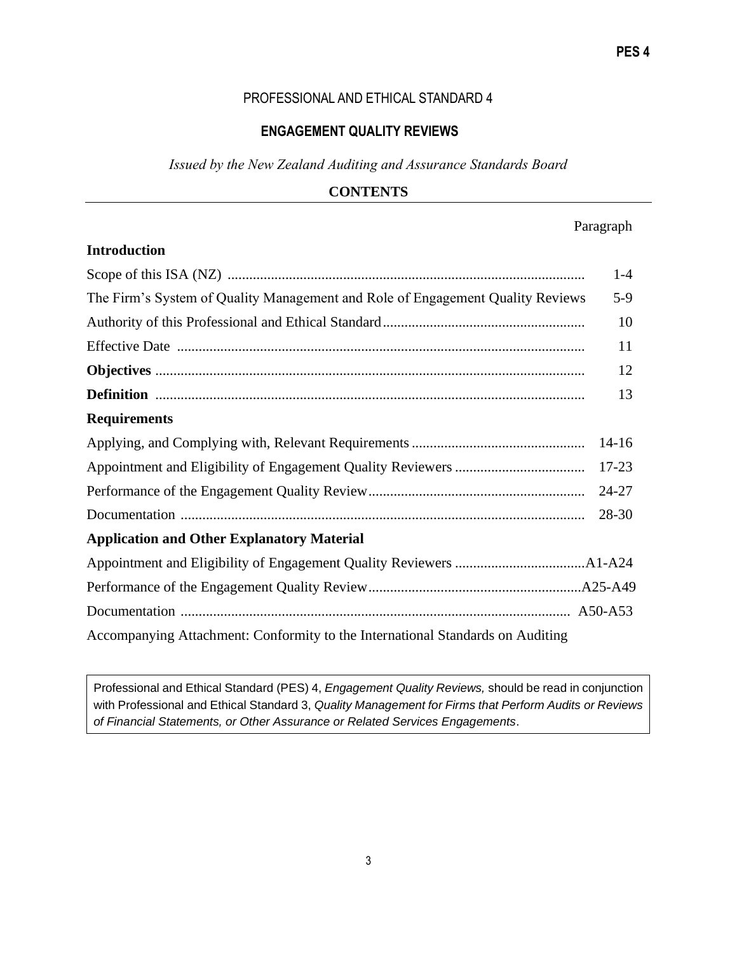#### PROFESSIONAL AND ETHICAL STANDARD 4

#### **ENGAGEMENT QUALITY REVIEWS**

*Issued by the New Zealand Auditing and Assurance Standards Board* 

#### **CONTENTS**

## Paragraph

| <b>Introduction</b>                                                            |           |
|--------------------------------------------------------------------------------|-----------|
|                                                                                | $1-4$     |
| The Firm's System of Quality Management and Role of Engagement Quality Reviews | $5-9$     |
|                                                                                | 10        |
|                                                                                | 11        |
|                                                                                | 12        |
|                                                                                | 13        |
| <b>Requirements</b>                                                            |           |
|                                                                                | $14-16$   |
|                                                                                | $17 - 23$ |
|                                                                                | $24 - 27$ |
|                                                                                | 28-30     |
| <b>Application and Other Explanatory Material</b>                              |           |
|                                                                                |           |
|                                                                                |           |
|                                                                                |           |
| Accompanying Attachment: Conformity to the International Standards on Auditing |           |

Professional and Ethical Standard (PES) 4, *Engagement Quality Reviews,* should be read in conjunction with Professional and Ethical Standard 3, *Quality Management for Firms that Perform Audits or Reviews of Financial Statements, or Other Assurance or Related Services Engagements*.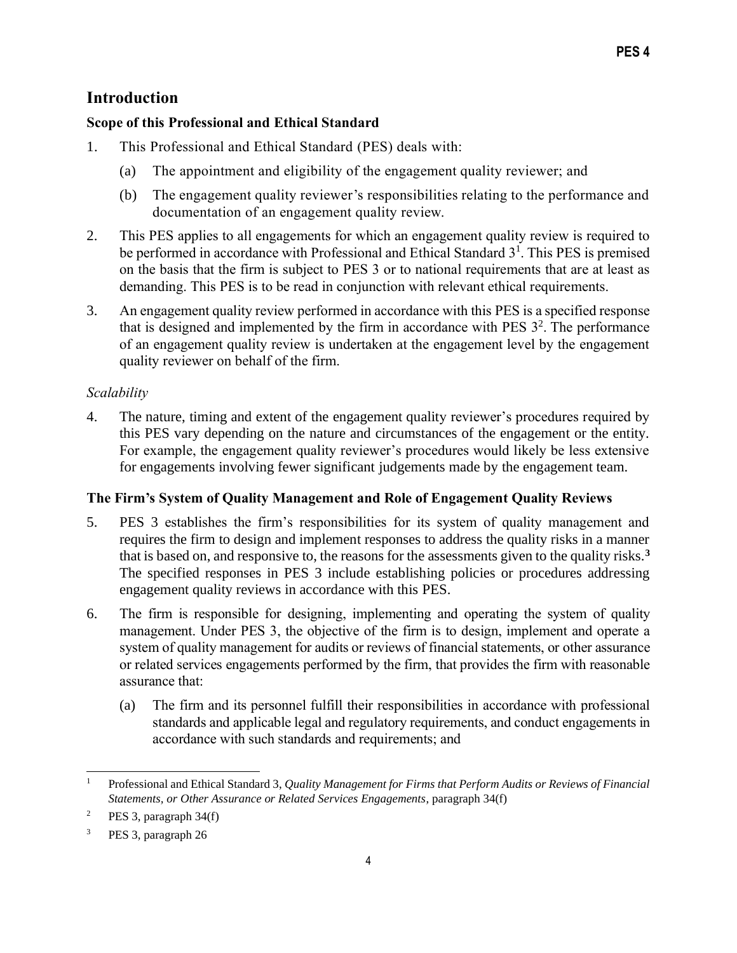# **Introduction**

# **Scope of this Professional and Ethical Standard**

- 1. This Professional and Ethical Standard (PES) deals with:
	- (a) The appointment and eligibility of the engagement quality reviewer; and
	- (b) The engagement quality reviewer's responsibilities relating to the performance and documentation of an engagement quality review.
- 2. This PES applies to all engagements for which an engagement quality review is required to be performed in accordance with Professional and Ethical Standard  $3<sup>1</sup>$ . This PES is premised on the basis that the firm is subject to PES 3 or to national requirements that are at least as demanding. This PES is to be read in conjunction with relevant ethical requirements.
- 3. An engagement quality review performed in accordance with this PES is a specified response that is designed and implemented by the firm in accordance with PES  $3<sup>2</sup>$ . The performance of an engagement quality review is undertaken at the engagement level by the engagement quality reviewer on behalf of the firm.

# *Scalability*

4. The nature, timing and extent of the engagement quality reviewer's procedures required by this PES vary depending on the nature and circumstances of the engagement or the entity. For example, the engagement quality reviewer's procedures would likely be less extensive for engagements involving fewer significant judgements made by the engagement team.

# **The Firm's System of Quality Management and Role of Engagement Quality Reviews**

- 5. PES 3 establishes the firm's responsibilities for its system of quality management and requires the firm to design and implement responses to address the quality risks in a manner that is based on, and responsive to, the reasons for the assessments given to the quality risks.**<sup>3</sup>** The specified responses in PES 3 include establishing policies or procedures addressing engagement quality reviews in accordance with this PES.
- 6. The firm is responsible for designing, implementing and operating the system of quality management. Under PES 3, the objective of the firm is to design, implement and operate a system of quality management for audits or reviews of financial statements, or other assurance or related services engagements performed by the firm, that provides the firm with reasonable assurance that:
	- (a) The firm and its personnel fulfill their responsibilities in accordance with professional standards and applicable legal and regulatory requirements, and conduct engagements in accordance with such standards and requirements; and

<sup>1</sup> Professional and Ethical Standard 3, *Quality Management for Firms that Perform Audits or Reviews of Financial Statements, or Other Assurance or Related Services Engagements*, paragraph 34(f)

<sup>&</sup>lt;sup>2</sup> PES 3, paragraph  $34(f)$ 

PES 3, paragraph 26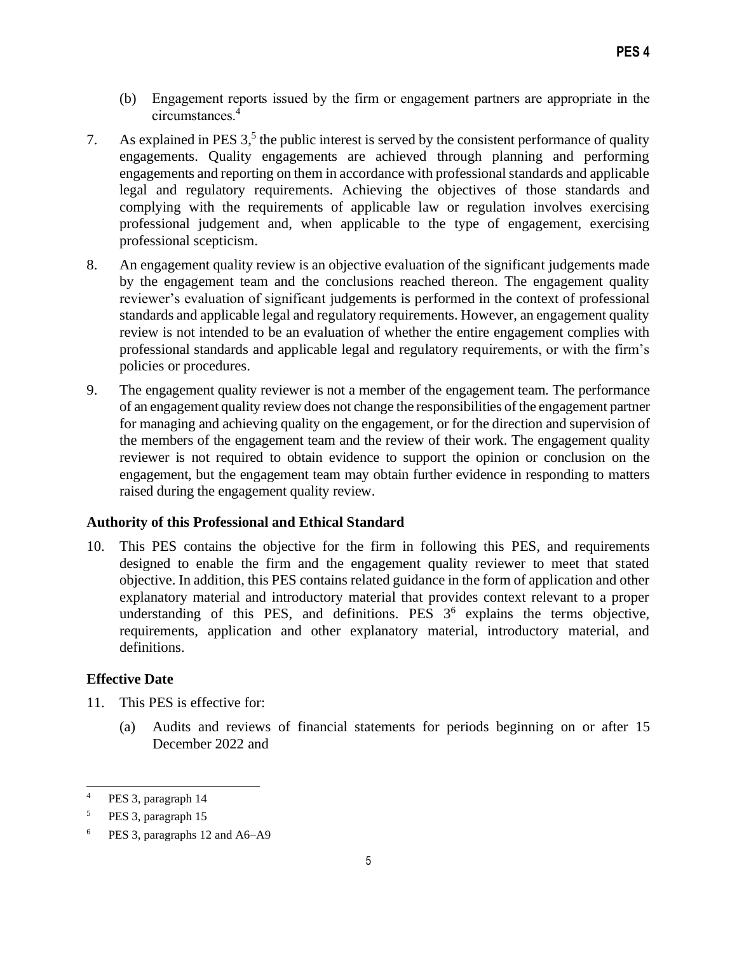- (b) Engagement reports issued by the firm or engagement partners are appropriate in the circumstances.<sup>4</sup>
- 7. As explained in PES  $3<sup>5</sup>$ , the public interest is served by the consistent performance of quality engagements. Quality engagements are achieved through planning and performing engagements and reporting on them in accordance with professional standards and applicable legal and regulatory requirements. Achieving the objectives of those standards and complying with the requirements of applicable law or regulation involves exercising professional judgement and, when applicable to the type of engagement, exercising professional scepticism.
- 8. An engagement quality review is an objective evaluation of the significant judgements made by the engagement team and the conclusions reached thereon. The engagement quality reviewer's evaluation of significant judgements is performed in the context of professional standards and applicable legal and regulatory requirements. However, an engagement quality review is not intended to be an evaluation of whether the entire engagement complies with professional standards and applicable legal and regulatory requirements, or with the firm's policies or procedures.
- 9. The engagement quality reviewer is not a member of the engagement team. The performance of an engagement quality review does not change the responsibilities of the engagement partner for managing and achieving quality on the engagement, or for the direction and supervision of the members of the engagement team and the review of their work. The engagement quality reviewer is not required to obtain evidence to support the opinion or conclusion on the engagement, but the engagement team may obtain further evidence in responding to matters raised during the engagement quality review.

#### **Authority of this Professional and Ethical Standard**

10. This PES contains the objective for the firm in following this PES, and requirements designed to enable the firm and the engagement quality reviewer to meet that stated objective. In addition, this PES contains related guidance in the form of application and other explanatory material and introductory material that provides context relevant to a proper understanding of this PES, and definitions. PES  $3<sup>6</sup>$  explains the terms objective, requirements, application and other explanatory material, introductory material, and definitions.

#### **Effective Date**

- 11. This PES is effective for:
	- (a) Audits and reviews of financial statements for periods beginning on or after 15 December 2022 and

<sup>4</sup> PES 3, paragraph 14

<sup>5</sup> PES 3, paragraph 15

PES 3, paragraphs 12 and A6–A9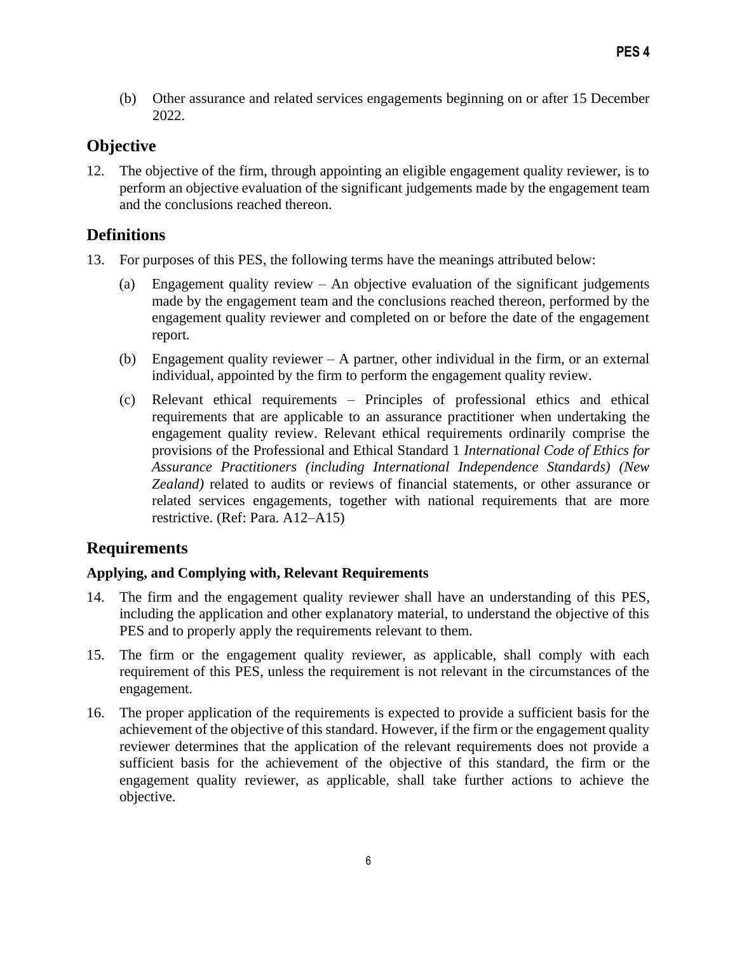(b) Other assurance and related services engagements beginning on or after 15 December 2022.

# **Objective**

12. The objective of the firm, through appointing an eligible engagement quality reviewer, is to perform an objective evaluation of the significant judgements made by the engagement team and the conclusions reached thereon.

# **Definitions**

- 13. For purposes of this PES, the following terms have the meanings attributed below:
	- (a) Engagement quality review An objective evaluation of the significant judgements made by the engagement team and the conclusions reached thereon, performed by the engagement quality reviewer and completed on or before the date of the engagement report.
	- (b) Engagement quality reviewer  $-$  A partner, other individual in the firm, or an external individual, appointed by the firm to perform the engagement quality review.
	- (c) Relevant ethical requirements Principles of professional ethics and ethical requirements that are applicable to an assurance practitioner when undertaking the engagement quality review. Relevant ethical requirements ordinarily comprise the provisions of the Professional and Ethical Standard 1 *International Code of Ethics for Assurance Practitioners (including International Independence Standards) (New Zealand)* related to audits or reviews of financial statements, or other assurance or related services engagements, together with national requirements that are more restrictive. (Ref: Para. A12–A15)

# **Requirements**

# **Applying, and Complying with, Relevant Requirements**

- 14. The firm and the engagement quality reviewer shall have an understanding of this PES, including the application and other explanatory material, to understand the objective of this PES and to properly apply the requirements relevant to them.
- 15. The firm or the engagement quality reviewer, as applicable, shall comply with each requirement of this PES, unless the requirement is not relevant in the circumstances of the engagement.
- 16. The proper application of the requirements is expected to provide a sufficient basis for the achievement of the objective of this standard. However, if the firm or the engagement quality reviewer determines that the application of the relevant requirements does not provide a sufficient basis for the achievement of the objective of this standard, the firm or the engagement quality reviewer, as applicable, shall take further actions to achieve the objective.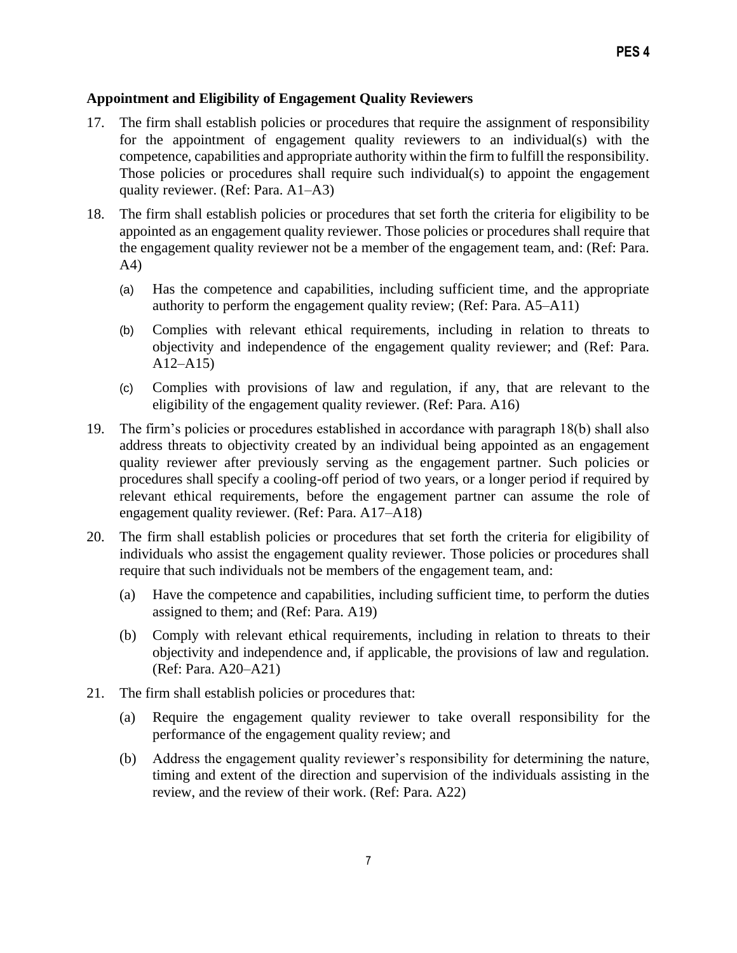## **Appointment and Eligibility of Engagement Quality Reviewers**

- 17. The firm shall establish policies or procedures that require the assignment of responsibility for the appointment of engagement quality reviewers to an individual(s) with the competence, capabilities and appropriate authority within the firm to fulfill the responsibility. Those policies or procedures shall require such individual(s) to appoint the engagement quality reviewer. (Ref: Para. A1–A3)
- 18. The firm shall establish policies or procedures that set forth the criteria for eligibility to be appointed as an engagement quality reviewer. Those policies or procedures shall require that the engagement quality reviewer not be a member of the engagement team, and: (Ref: Para. A4)
	- (a) Has the competence and capabilities, including sufficient time, and the appropriate authority to perform the engagement quality review; (Ref: Para. A5–A11)
	- (b) Complies with relevant ethical requirements, including in relation to threats to objectivity and independence of the engagement quality reviewer; and (Ref: Para. A12–A15)
	- (c) Complies with provisions of law and regulation, if any, that are relevant to the eligibility of the engagement quality reviewer. (Ref: Para. A16)
- 19. The firm's policies or procedures established in accordance with paragraph 18(b) shall also address threats to objectivity created by an individual being appointed as an engagement quality reviewer after previously serving as the engagement partner. Such policies or procedures shall specify a cooling-off period of two years, or a longer period if required by relevant ethical requirements, before the engagement partner can assume the role of engagement quality reviewer. (Ref: Para. A17–A18)
- 20. The firm shall establish policies or procedures that set forth the criteria for eligibility of individuals who assist the engagement quality reviewer. Those policies or procedures shall require that such individuals not be members of the engagement team, and:
	- (a) Have the competence and capabilities, including sufficient time, to perform the duties assigned to them; and (Ref: Para. A19)
	- (b) Comply with relevant ethical requirements, including in relation to threats to their objectivity and independence and, if applicable, the provisions of law and regulation. (Ref: Para. A20–A21)
- 21. The firm shall establish policies or procedures that:
	- (a) Require the engagement quality reviewer to take overall responsibility for the performance of the engagement quality review; and
	- (b) Address the engagement quality reviewer's responsibility for determining the nature, timing and extent of the direction and supervision of the individuals assisting in the review, and the review of their work. (Ref: Para. A22)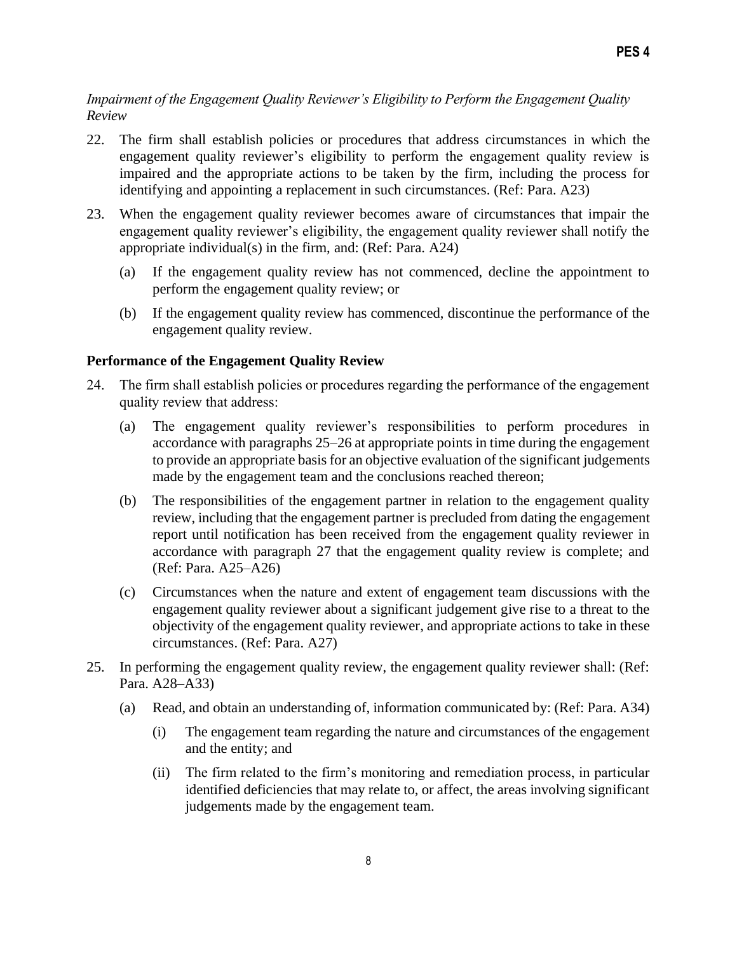# *Impairment of the Engagement Quality Reviewer's Eligibility to Perform the Engagement Quality Review*

- 22. The firm shall establish policies or procedures that address circumstances in which the engagement quality reviewer's eligibility to perform the engagement quality review is impaired and the appropriate actions to be taken by the firm, including the process for identifying and appointing a replacement in such circumstances. (Ref: Para. A23)
- 23. When the engagement quality reviewer becomes aware of circumstances that impair the engagement quality reviewer's eligibility, the engagement quality reviewer shall notify the appropriate individual(s) in the firm, and: (Ref: Para. A24)
	- (a) If the engagement quality review has not commenced, decline the appointment to perform the engagement quality review; or
	- (b) If the engagement quality review has commenced, discontinue the performance of the engagement quality review.

## **Performance of the Engagement Quality Review**

- 24. The firm shall establish policies or procedures regarding the performance of the engagement quality review that address:
	- (a) The engagement quality reviewer's responsibilities to perform procedures in accordance with paragraphs 25–26 at appropriate points in time during the engagement to provide an appropriate basis for an objective evaluation of the significant judgements made by the engagement team and the conclusions reached thereon;
	- (b) The responsibilities of the engagement partner in relation to the engagement quality review, including that the engagement partner is precluded from dating the engagement report until notification has been received from the engagement quality reviewer in accordance with paragraph 27 that the engagement quality review is complete; and (Ref: Para. A25–A26)
	- (c) Circumstances when the nature and extent of engagement team discussions with the engagement quality reviewer about a significant judgement give rise to a threat to the objectivity of the engagement quality reviewer, and appropriate actions to take in these circumstances. (Ref: Para. A27)
- 25. In performing the engagement quality review, the engagement quality reviewer shall: (Ref: Para. A28–A33)
	- (a) Read, and obtain an understanding of, information communicated by: (Ref: Para. A34)
		- (i) The engagement team regarding the nature and circumstances of the engagement and the entity; and
		- (ii) The firm related to the firm's monitoring and remediation process, in particular identified deficiencies that may relate to, or affect, the areas involving significant judgements made by the engagement team.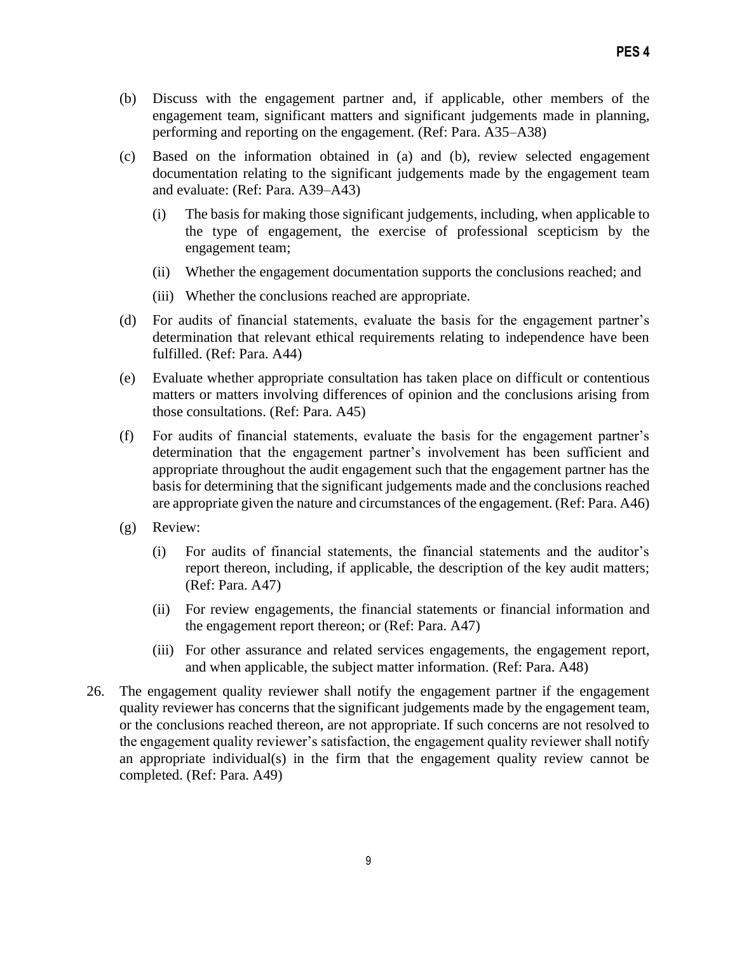- (b) Discuss with the engagement partner and, if applicable, other members of the engagement team, significant matters and significant judgements made in planning, performing and reporting on the engagement. (Ref: Para. A35–A38)
- (c) Based on the information obtained in (a) and (b), review selected engagement documentation relating to the significant judgements made by the engagement team and evaluate: (Ref: Para. A39–A43)
	- (i) The basis for making those significant judgements, including, when applicable to the type of engagement, the exercise of professional scepticism by the engagement team;
	- (ii) Whether the engagement documentation supports the conclusions reached; and
	- (iii) Whether the conclusions reached are appropriate.
- (d) For audits of financial statements, evaluate the basis for the engagement partner's determination that relevant ethical requirements relating to independence have been fulfilled. (Ref: Para. A44)
- (e) Evaluate whether appropriate consultation has taken place on difficult or contentious matters or matters involving differences of opinion and the conclusions arising from those consultations. (Ref: Para. A45)
- (f) For audits of financial statements, evaluate the basis for the engagement partner's determination that the engagement partner's involvement has been sufficient and appropriate throughout the audit engagement such that the engagement partner has the basis for determining that the significant judgements made and the conclusions reached are appropriate given the nature and circumstances of the engagement. (Ref: Para. A46)
- (g) Review:
	- (i) For audits of financial statements, the financial statements and the auditor's report thereon, including, if applicable, the description of the key audit matters; (Ref: Para. A47)
	- (ii) For review engagements, the financial statements or financial information and the engagement report thereon; or (Ref: Para. A47)
	- (iii) For other assurance and related services engagements, the engagement report, and when applicable, the subject matter information. (Ref: Para. A48)
- 26. The engagement quality reviewer shall notify the engagement partner if the engagement quality reviewer has concerns that the significant judgements made by the engagement team, or the conclusions reached thereon, are not appropriate. If such concerns are not resolved to the engagement quality reviewer's satisfaction, the engagement quality reviewer shall notify an appropriate individual(s) in the firm that the engagement quality review cannot be completed. (Ref: Para. A49)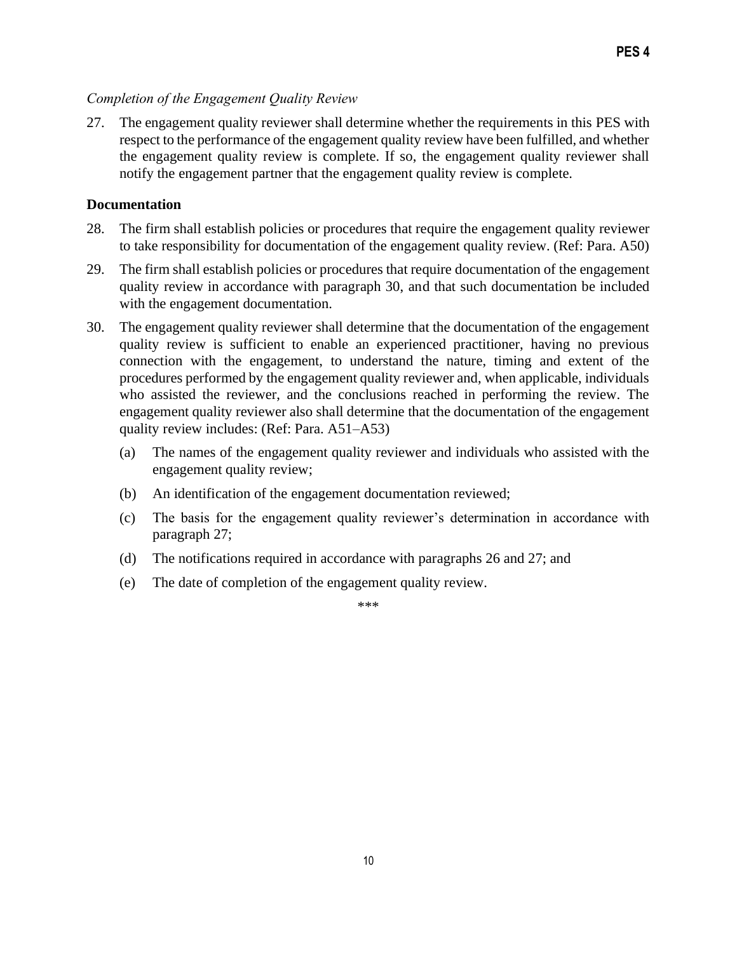# *Completion of the Engagement Quality Review*

27. The engagement quality reviewer shall determine whether the requirements in this PES with respect to the performance of the engagement quality review have been fulfilled, and whether the engagement quality review is complete. If so, the engagement quality reviewer shall notify the engagement partner that the engagement quality review is complete.

#### **Documentation**

- 28. The firm shall establish policies or procedures that require the engagement quality reviewer to take responsibility for documentation of the engagement quality review. (Ref: Para. A50)
- 29. The firm shall establish policies or procedures that require documentation of the engagement quality review in accordance with paragraph 30, and that such documentation be included with the engagement documentation.
- 30. The engagement quality reviewer shall determine that the documentation of the engagement quality review is sufficient to enable an experienced practitioner, having no previous connection with the engagement, to understand the nature, timing and extent of the procedures performed by the engagement quality reviewer and, when applicable, individuals who assisted the reviewer, and the conclusions reached in performing the review. The engagement quality reviewer also shall determine that the documentation of the engagement quality review includes: (Ref: Para. A51–A53)
	- (a) The names of the engagement quality reviewer and individuals who assisted with the engagement quality review;
	- (b) An identification of the engagement documentation reviewed;
	- (c) The basis for the engagement quality reviewer's determination in accordance with paragraph 27;
	- (d) The notifications required in accordance with paragraphs 26 and 27; and
	- (e) The date of completion of the engagement quality review.

\*\*\*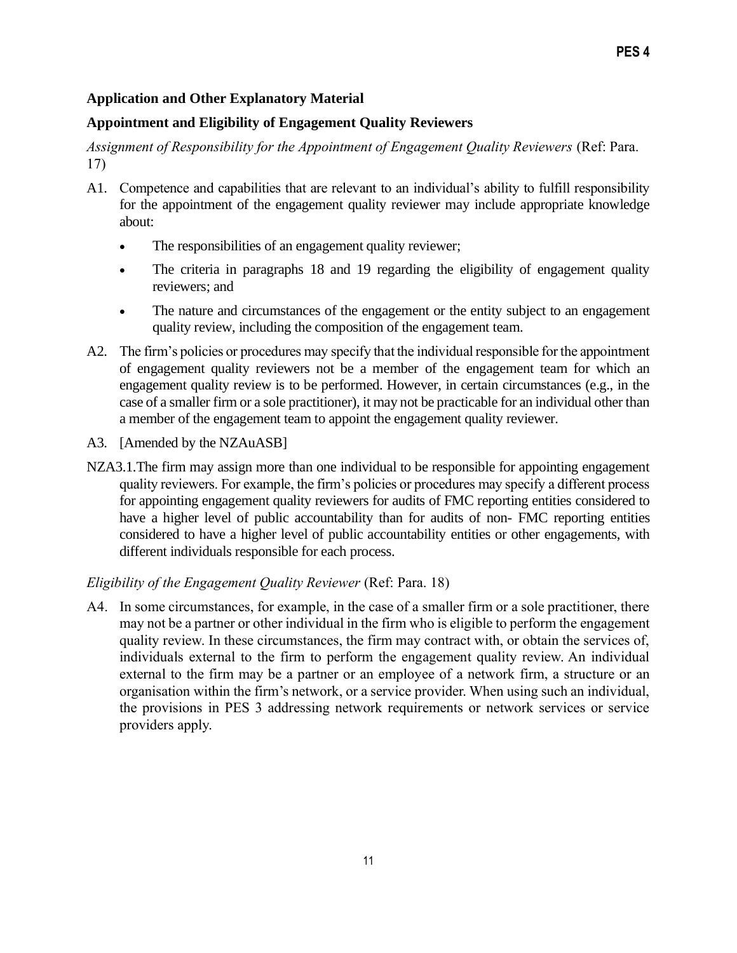## **Application and Other Explanatory Material**

### **Appointment and Eligibility of Engagement Quality Reviewers**

Assignment of Responsibility for the Appointment of Engagement Quality Reviewers (Ref: Para. 17)

- A1. Competence and capabilities that are relevant to an individual's ability to fulfill responsibility for the appointment of the engagement quality reviewer may include appropriate knowledge about:
	- The responsibilities of an engagement quality reviewer;
	- The criteria in paragraphs 18 and 19 regarding the eligibility of engagement quality reviewers; and
	- The nature and circumstances of the engagement or the entity subject to an engagement quality review, including the composition of the engagement team.
- A2. The firm's policies or procedures may specify that the individual responsible for the appointment of engagement quality reviewers not be a member of the engagement team for which an engagement quality review is to be performed. However, in certain circumstances (e.g., in the case of a smaller firm or a sole practitioner), it may not be practicable for an individual other than a member of the engagement team to appoint the engagement quality reviewer.
- A3. [Amended by the NZAuASB]
- NZA3.1. The firm may assign more than one individual to be responsible for appointing engagement quality reviewers. For example, the firm's policies or procedures may specify a different process for appointing engagement quality reviewers for audits of FMC reporting entities considered to have a higher level of public accountability than for audits of non- FMC reporting entities considered to have a higher level of public accountability entities or other engagements, with different individuals responsible for each process.

#### *Eligibility of the Engagement Quality Reviewer* (Ref: Para. 18)

A4. In some circumstances, for example, in the case of a smaller firm or a sole practitioner, there may not be a partner or other individual in the firm who is eligible to perform the engagement quality review. In these circumstances, the firm may contract with, or obtain the services of, individuals external to the firm to perform the engagement quality review. An individual external to the firm may be a partner or an employee of a network firm, a structure or an organisation within the firm's network, or a service provider. When using such an individual, the provisions in PES 3 addressing network requirements or network services or service providers apply.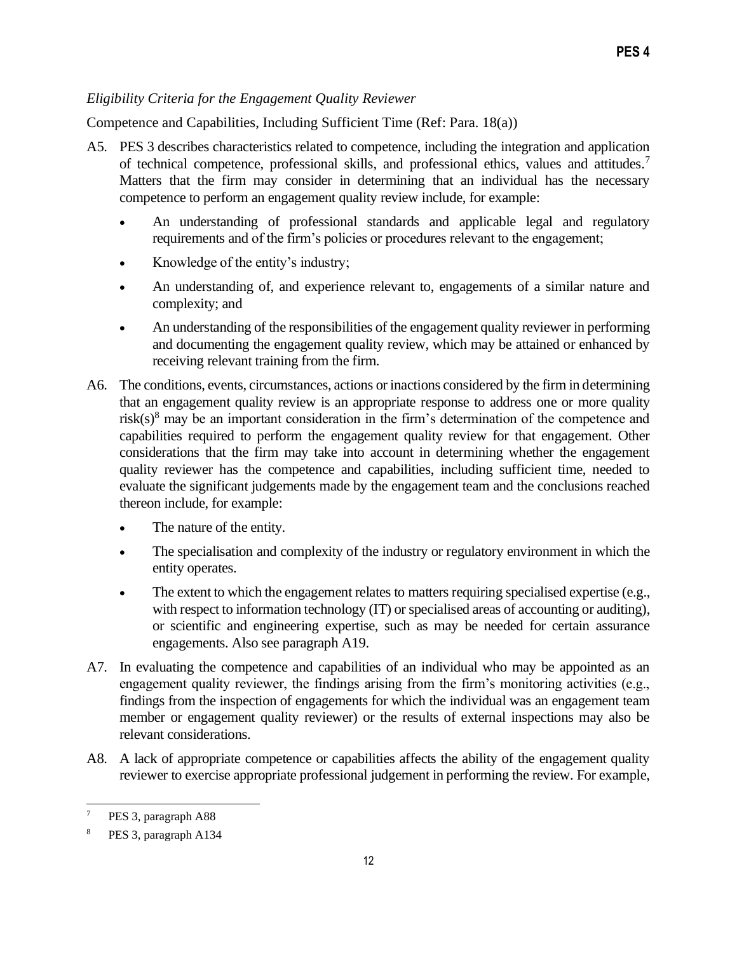# *Eligibility Criteria for the Engagement Quality Reviewer*

Competence and Capabilities, Including Sufficient Time (Ref: Para. 18(a))

- A5. PES 3 describes characteristics related to competence, including the integration and application of technical competence, professional skills, and professional ethics, values and attitudes.<sup>7</sup> Matters that the firm may consider in determining that an individual has the necessary competence to perform an engagement quality review include, for example:
	- An understanding of professional standards and applicable legal and regulatory requirements and of the firm's policies or procedures relevant to the engagement;
	- Knowledge of the entity's industry;
	- An understanding of, and experience relevant to, engagements of a similar nature and complexity; and
	- An understanding of the responsibilities of the engagement quality reviewer in performing and documenting the engagement quality review, which may be attained or enhanced by receiving relevant training from the firm.
- A6. The conditions, events, circumstances, actions or inactions considered by the firm in determining that an engagement quality review is an appropriate response to address one or more quality risk(s)<sup>8</sup> may be an important consideration in the firm's determination of the competence and capabilities required to perform the engagement quality review for that engagement. Other considerations that the firm may take into account in determining whether the engagement quality reviewer has the competence and capabilities, including sufficient time, needed to evaluate the significant judgements made by the engagement team and the conclusions reached thereon include, for example:
	- The nature of the entity.
	- The specialisation and complexity of the industry or regulatory environment in which the entity operates.
	- The extent to which the engagement relates to matters requiring specialised expertise (e.g., with respect to information technology (IT) or specialised areas of accounting or auditing), or scientific and engineering expertise, such as may be needed for certain assurance engagements. Also see paragraph A19.
- A7. In evaluating the competence and capabilities of an individual who may be appointed as an engagement quality reviewer, the findings arising from the firm's monitoring activities (e.g., findings from the inspection of engagements for which the individual was an engagement team member or engagement quality reviewer) or the results of external inspections may also be relevant considerations.
- A8. A lack of appropriate competence or capabilities affects the ability of the engagement quality reviewer to exercise appropriate professional judgement in performing the review. For example,

<sup>7</sup> PES 3, paragraph A88

PES 3, paragraph A134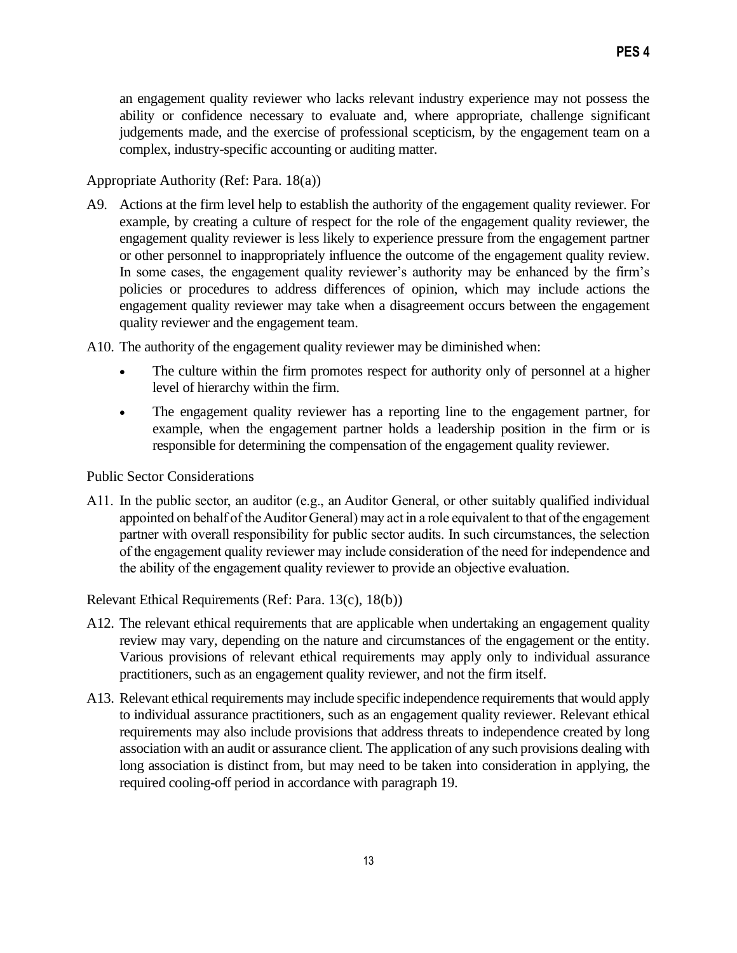an engagement quality reviewer who lacks relevant industry experience may not possess the ability or confidence necessary to evaluate and, where appropriate, challenge significant judgements made, and the exercise of professional scepticism, by the engagement team on a complex, industry-specific accounting or auditing matter.

Appropriate Authority (Ref: Para. 18(a))

A9. Actions at the firm level help to establish the authority of the engagement quality reviewer. For example, by creating a culture of respect for the role of the engagement quality reviewer, the engagement quality reviewer is less likely to experience pressure from the engagement partner or other personnel to inappropriately influence the outcome of the engagement quality review. In some cases, the engagement quality reviewer's authority may be enhanced by the firm's policies or procedures to address differences of opinion, which may include actions the engagement quality reviewer may take when a disagreement occurs between the engagement quality reviewer and the engagement team.

A10. The authority of the engagement quality reviewer may be diminished when:

- The culture within the firm promotes respect for authority only of personnel at a higher level of hierarchy within the firm.
- The engagement quality reviewer has a reporting line to the engagement partner, for example, when the engagement partner holds a leadership position in the firm or is responsible for determining the compensation of the engagement quality reviewer.

Public Sector Considerations

A11. In the public sector, an auditor (e.g., an Auditor General, or other suitably qualified individual appointed on behalf of the Auditor General) may act in a role equivalent to that of the engagement partner with overall responsibility for public sector audits. In such circumstances, the selection of the engagement quality reviewer may include consideration of the need for independence and the ability of the engagement quality reviewer to provide an objective evaluation.

Relevant Ethical Requirements (Ref: Para. 13(c), 18(b))

- A12. The relevant ethical requirements that are applicable when undertaking an engagement quality review may vary, depending on the nature and circumstances of the engagement or the entity. Various provisions of relevant ethical requirements may apply only to individual assurance practitioners, such as an engagement quality reviewer, and not the firm itself.
- A13. Relevant ethical requirements may include specific independence requirements that would apply to individual assurance practitioners, such as an engagement quality reviewer. Relevant ethical requirements may also include provisions that address threats to independence created by long association with an audit or assurance client. The application of any such provisions dealing with long association is distinct from, but may need to be taken into consideration in applying, the required cooling-off period in accordance with paragraph 19.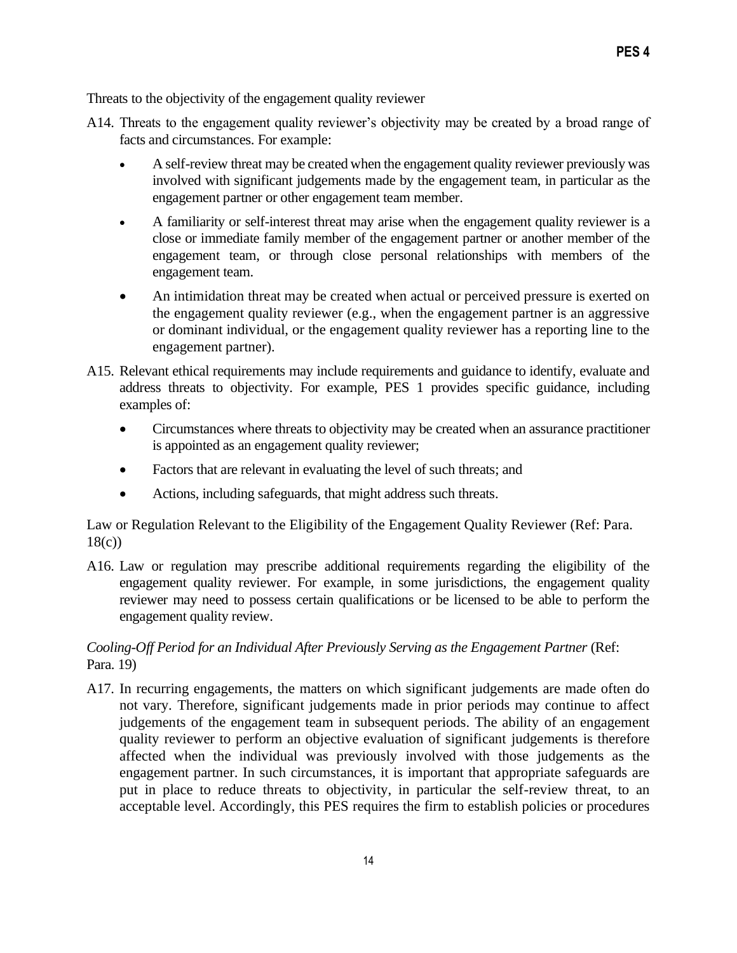Threats to the objectivity of the engagement quality reviewer

- A14. Threats to the engagement quality reviewer's objectivity may be created by a broad range of facts and circumstances. For example:
	- A self-review threat may be created when the engagement quality reviewer previously was involved with significant judgements made by the engagement team, in particular as the engagement partner or other engagement team member.
	- A familiarity or self-interest threat may arise when the engagement quality reviewer is a close or immediate family member of the engagement partner or another member of the engagement team, or through close personal relationships with members of the engagement team.
	- An intimidation threat may be created when actual or perceived pressure is exerted on the engagement quality reviewer (e.g., when the engagement partner is an aggressive or dominant individual, or the engagement quality reviewer has a reporting line to the engagement partner).
- A15. Relevant ethical requirements may include requirements and guidance to identify, evaluate and address threats to objectivity. For example, PES 1 provides specific guidance, including examples of:
	- Circumstances where threats to objectivity may be created when an assurance practitioner is appointed as an engagement quality reviewer;
	- Factors that are relevant in evaluating the level of such threats; and
	- Actions, including safeguards, that might address such threats.

Law or Regulation Relevant to the Eligibility of the Engagement Quality Reviewer (Ref: Para. 18(c))

A16. Law or regulation may prescribe additional requirements regarding the eligibility of the engagement quality reviewer. For example, in some jurisdictions, the engagement quality reviewer may need to possess certain qualifications or be licensed to be able to perform the engagement quality review.

# *Cooling-Off Period for an Individual After Previously Serving as the Engagement Partner* (Ref: Para. 19)

A17. In recurring engagements, the matters on which significant judgements are made often do not vary. Therefore, significant judgements made in prior periods may continue to affect judgements of the engagement team in subsequent periods. The ability of an engagement quality reviewer to perform an objective evaluation of significant judgements is therefore affected when the individual was previously involved with those judgements as the engagement partner. In such circumstances, it is important that appropriate safeguards are put in place to reduce threats to objectivity, in particular the self-review threat, to an acceptable level. Accordingly, this PES requires the firm to establish policies or procedures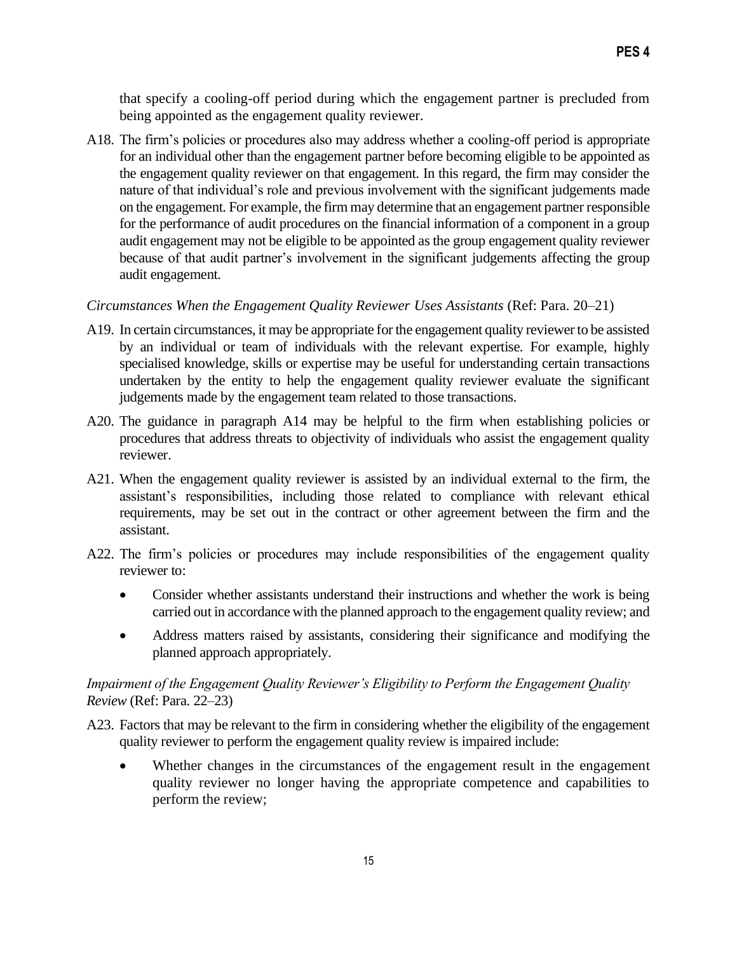that specify a cooling-off period during which the engagement partner is precluded from being appointed as the engagement quality reviewer.

A18. The firm's policies or procedures also may address whether a cooling-off period is appropriate for an individual other than the engagement partner before becoming eligible to be appointed as the engagement quality reviewer on that engagement. In this regard, the firm may consider the nature of that individual's role and previous involvement with the significant judgements made on the engagement. For example, the firm may determine that an engagement partner responsible for the performance of audit procedures on the financial information of a component in a group audit engagement may not be eligible to be appointed as the group engagement quality reviewer because of that audit partner's involvement in the significant judgements affecting the group audit engagement.

#### *Circumstances When the Engagement Quality Reviewer Uses Assistants* (Ref: Para. 20–21)

- A19. In certain circumstances, it may be appropriate for the engagement quality reviewer to be assisted by an individual or team of individuals with the relevant expertise. For example, highly specialised knowledge, skills or expertise may be useful for understanding certain transactions undertaken by the entity to help the engagement quality reviewer evaluate the significant judgements made by the engagement team related to those transactions.
- A20. The guidance in paragraph A14 may be helpful to the firm when establishing policies or procedures that address threats to objectivity of individuals who assist the engagement quality reviewer.
- A21. When the engagement quality reviewer is assisted by an individual external to the firm, the assistant's responsibilities, including those related to compliance with relevant ethical requirements, may be set out in the contract or other agreement between the firm and the assistant.
- A22. The firm's policies or procedures may include responsibilities of the engagement quality reviewer to:
	- Consider whether assistants understand their instructions and whether the work is being carried out in accordance with the planned approach to the engagement quality review; and
	- Address matters raised by assistants, considering their significance and modifying the planned approach appropriately.

## *Impairment of the Engagement Quality Reviewer's Eligibility to Perform the Engagement Quality Review* (Ref: Para. 22–23)

- A23. Factors that may be relevant to the firm in considering whether the eligibility of the engagement quality reviewer to perform the engagement quality review is impaired include:
	- Whether changes in the circumstances of the engagement result in the engagement quality reviewer no longer having the appropriate competence and capabilities to perform the review;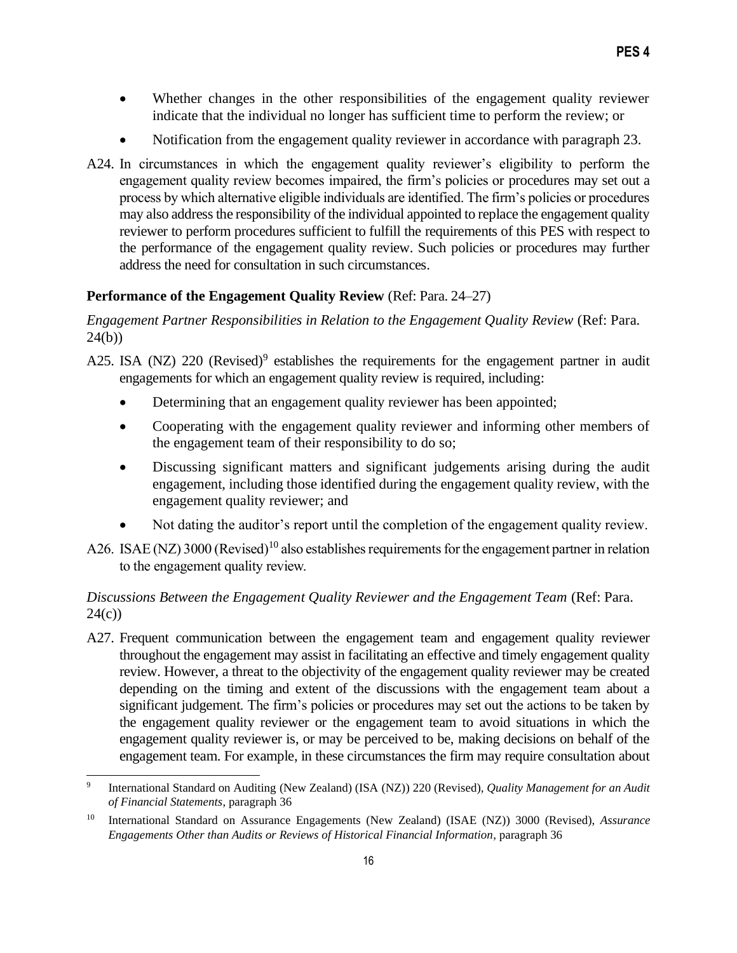- Whether changes in the other responsibilities of the engagement quality reviewer indicate that the individual no longer has sufficient time to perform the review; or
- Notification from the engagement quality reviewer in accordance with paragraph 23.
- A24. In circumstances in which the engagement quality reviewer's eligibility to perform the engagement quality review becomes impaired, the firm's policies or procedures may set out a process by which alternative eligible individuals are identified. The firm's policies or procedures may also address the responsibility of the individual appointed to replace the engagement quality reviewer to perform procedures sufficient to fulfill the requirements of this PES with respect to the performance of the engagement quality review. Such policies or procedures may further address the need for consultation in such circumstances.

# **Performance of the Engagement Quality Review** (Ref: Para. 24–27)

*Engagement Partner Responsibilities in Relation to the Engagement Quality Review* (Ref: Para. 24(b))

- A25. ISA (NZ) 220 (Revised)<sup>9</sup> establishes the requirements for the engagement partner in audit engagements for which an engagement quality review is required, including:
	- Determining that an engagement quality reviewer has been appointed;
	- Cooperating with the engagement quality reviewer and informing other members of the engagement team of their responsibility to do so;
	- Discussing significant matters and significant judgements arising during the audit engagement, including those identified during the engagement quality review, with the engagement quality reviewer; and
	- Not dating the auditor's report until the completion of the engagement quality review.
- A26. ISAE (NZ) 3000 (Revised)<sup>10</sup> also establishes requirements for the engagement partner in relation to the engagement quality review.

# *Discussions Between the Engagement Quality Reviewer and the Engagement Team* (Ref: Para.  $24(c)$

A27. Frequent communication between the engagement team and engagement quality reviewer throughout the engagement may assist in facilitating an effective and timely engagement quality review. However, a threat to the objectivity of the engagement quality reviewer may be created depending on the timing and extent of the discussions with the engagement team about a significant judgement. The firm's policies or procedures may set out the actions to be taken by the engagement quality reviewer or the engagement team to avoid situations in which the engagement quality reviewer is, or may be perceived to be, making decisions on behalf of the engagement team. For example, in these circumstances the firm may require consultation about

<sup>9</sup> International Standard on Auditing (New Zealand) (ISA (NZ)) 220 (Revised), *Quality Management for an Audit of Financial Statements*, paragraph 36

<sup>10</sup> International Standard on Assurance Engagements (New Zealand) (ISAE (NZ)) 3000 (Revised), *Assurance Engagements Other than Audits or Reviews of Historical Financial Information*, paragraph 36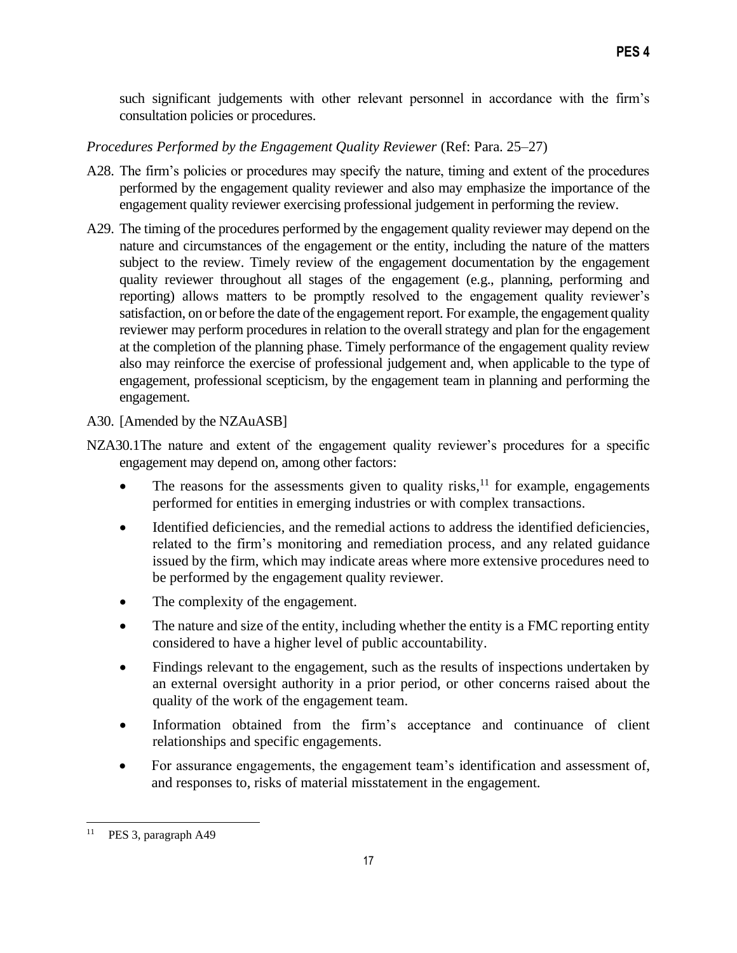such significant judgements with other relevant personnel in accordance with the firm's consultation policies or procedures.

### *Procedures Performed by the Engagement Quality Reviewer (Ref: Para. 25–27)*

- A28. The firm's policies or procedures may specify the nature, timing and extent of the procedures performed by the engagement quality reviewer and also may emphasize the importance of the engagement quality reviewer exercising professional judgement in performing the review.
- A29. The timing of the procedures performed by the engagement quality reviewer may depend on the nature and circumstances of the engagement or the entity, including the nature of the matters subject to the review. Timely review of the engagement documentation by the engagement quality reviewer throughout all stages of the engagement (e.g., planning, performing and reporting) allows matters to be promptly resolved to the engagement quality reviewer's satisfaction, on or before the date of the engagement report. For example, the engagement quality reviewer may perform procedures in relation to the overall strategy and plan for the engagement at the completion of the planning phase. Timely performance of the engagement quality review also may reinforce the exercise of professional judgement and, when applicable to the type of engagement, professional scepticism, by the engagement team in planning and performing the engagement.

A30. [Amended by the NZAuASB]

- NZA30.1The nature and extent of the engagement quality reviewer's procedures for a specific engagement may depend on, among other factors:
	- The reasons for the assessments given to quality risks,<sup>11</sup> for example, engagements performed for entities in emerging industries or with complex transactions.
	- Identified deficiencies, and the remedial actions to address the identified deficiencies, related to the firm's monitoring and remediation process, and any related guidance issued by the firm, which may indicate areas where more extensive procedures need to be performed by the engagement quality reviewer.
	- The complexity of the engagement.
	- The nature and size of the entity, including whether the entity is a FMC reporting entity considered to have a higher level of public accountability.
	- Findings relevant to the engagement, such as the results of inspections undertaken by an external oversight authority in a prior period, or other concerns raised about the quality of the work of the engagement team.
	- Information obtained from the firm's acceptance and continuance of client relationships and specific engagements.
	- For assurance engagements, the engagement team's identification and assessment of, and responses to, risks of material misstatement in the engagement.

PES 3, paragraph A49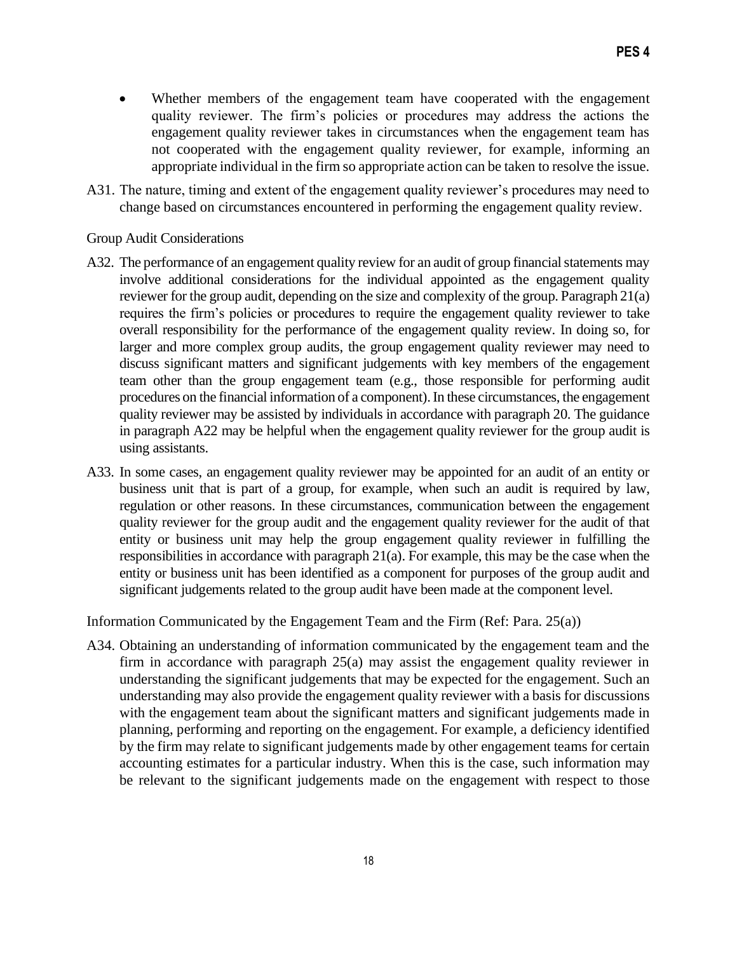- Whether members of the engagement team have cooperated with the engagement quality reviewer. The firm's policies or procedures may address the actions the engagement quality reviewer takes in circumstances when the engagement team has not cooperated with the engagement quality reviewer, for example, informing an appropriate individual in the firm so appropriate action can be taken to resolve the issue.
- A31. The nature, timing and extent of the engagement quality reviewer's procedures may need to change based on circumstances encountered in performing the engagement quality review.

Group Audit Considerations

- A32. The performance of an engagement quality review for an audit of group financial statements may involve additional considerations for the individual appointed as the engagement quality reviewer for the group audit, depending on the size and complexity of the group. Paragraph 21(a) requires the firm's policies or procedures to require the engagement quality reviewer to take overall responsibility for the performance of the engagement quality review. In doing so, for larger and more complex group audits, the group engagement quality reviewer may need to discuss significant matters and significant judgements with key members of the engagement team other than the group engagement team (e.g., those responsible for performing audit procedures on the financial information of a component). In these circumstances, the engagement quality reviewer may be assisted by individuals in accordance with paragraph 20. The guidance in paragraph A22 may be helpful when the engagement quality reviewer for the group audit is using assistants.
- A33. In some cases, an engagement quality reviewer may be appointed for an audit of an entity or business unit that is part of a group, for example, when such an audit is required by law, regulation or other reasons. In these circumstances, communication between the engagement quality reviewer for the group audit and the engagement quality reviewer for the audit of that entity or business unit may help the group engagement quality reviewer in fulfilling the responsibilities in accordance with paragraph 21(a). For example, this may be the case when the entity or business unit has been identified as a component for purposes of the group audit and significant judgements related to the group audit have been made at the component level.

Information Communicated by the Engagement Team and the Firm (Ref: Para. 25(a))

A34. Obtaining an understanding of information communicated by the engagement team and the firm in accordance with paragraph 25(a) may assist the engagement quality reviewer in understanding the significant judgements that may be expected for the engagement. Such an understanding may also provide the engagement quality reviewer with a basis for discussions with the engagement team about the significant matters and significant judgements made in planning, performing and reporting on the engagement. For example, a deficiency identified by the firm may relate to significant judgements made by other engagement teams for certain accounting estimates for a particular industry. When this is the case, such information may be relevant to the significant judgements made on the engagement with respect to those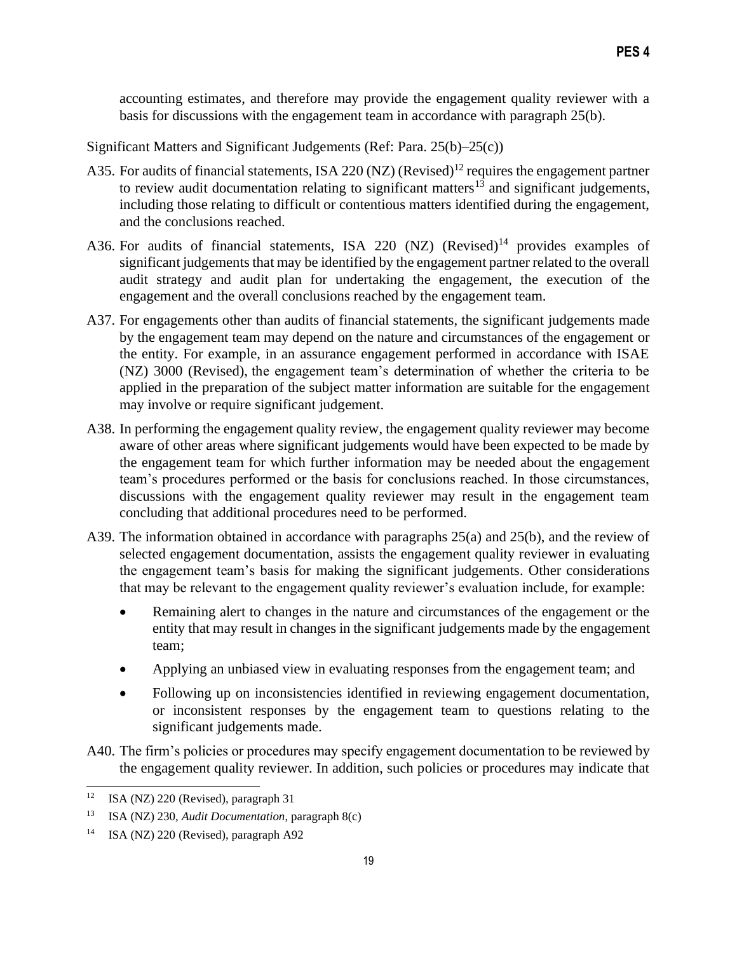accounting estimates, and therefore may provide the engagement quality reviewer with a basis for discussions with the engagement team in accordance with paragraph 25(b).

Significant Matters and Significant Judgements (Ref: Para. 25(b)–25(c))

- A35. For audits of financial statements, ISA 220 (NZ) (Revised)<sup>12</sup> requires the engagement partner to review audit documentation relating to significant matters<sup>13</sup> and significant judgements, including those relating to difficult or contentious matters identified during the engagement, and the conclusions reached.
- A36. For audits of financial statements, ISA 220 (NZ) (Revised)<sup>14</sup> provides examples of significant judgements that may be identified by the engagement partner related to the overall audit strategy and audit plan for undertaking the engagement, the execution of the engagement and the overall conclusions reached by the engagement team.
- A37. For engagements other than audits of financial statements, the significant judgements made by the engagement team may depend on the nature and circumstances of the engagement or the entity. For example, in an assurance engagement performed in accordance with ISAE (NZ) 3000 (Revised), the engagement team's determination of whether the criteria to be applied in the preparation of the subject matter information are suitable for the engagement may involve or require significant judgement.
- A38. In performing the engagement quality review, the engagement quality reviewer may become aware of other areas where significant judgements would have been expected to be made by the engagement team for which further information may be needed about the engagement team's procedures performed or the basis for conclusions reached. In those circumstances, discussions with the engagement quality reviewer may result in the engagement team concluding that additional procedures need to be performed.
- A39. The information obtained in accordance with paragraphs 25(a) and 25(b), and the review of selected engagement documentation, assists the engagement quality reviewer in evaluating the engagement team's basis for making the significant judgements. Other considerations that may be relevant to the engagement quality reviewer's evaluation include, for example:
	- Remaining alert to changes in the nature and circumstances of the engagement or the entity that may result in changes in the significant judgements made by the engagement team;
	- Applying an unbiased view in evaluating responses from the engagement team; and
	- Following up on inconsistencies identified in reviewing engagement documentation, or inconsistent responses by the engagement team to questions relating to the significant judgements made.
- A40. The firm's policies or procedures may specify engagement documentation to be reviewed by the engagement quality reviewer. In addition, such policies or procedures may indicate that

<sup>&</sup>lt;sup>12</sup> ISA (NZ) 220 (Revised), paragraph 31

<sup>13</sup> ISA (NZ) 230, *Audit Documentation*, paragraph 8(c)

<sup>&</sup>lt;sup>14</sup> ISA (NZ) 220 (Revised), paragraph A92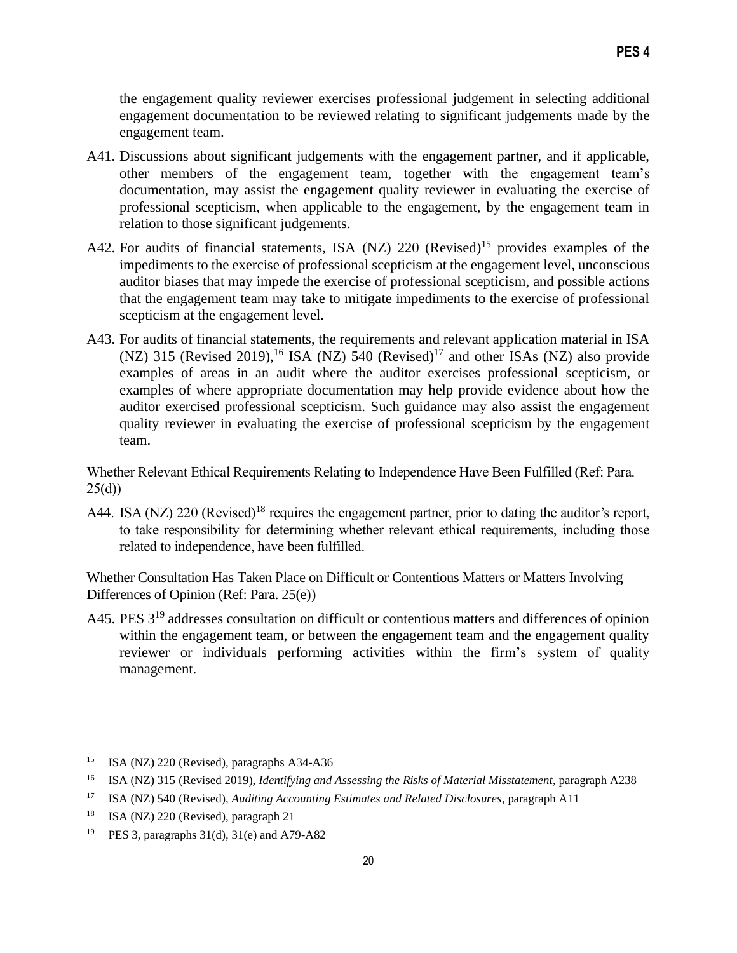the engagement quality reviewer exercises professional judgement in selecting additional engagement documentation to be reviewed relating to significant judgements made by the engagement team.

- A41. Discussions about significant judgements with the engagement partner, and if applicable, other members of the engagement team, together with the engagement team's documentation, may assist the engagement quality reviewer in evaluating the exercise of professional scepticism, when applicable to the engagement, by the engagement team in relation to those significant judgements.
- A42. For audits of financial statements, ISA (NZ)  $220$  (Revised)<sup>15</sup> provides examples of the impediments to the exercise of professional scepticism at the engagement level, unconscious auditor biases that may impede the exercise of professional scepticism, and possible actions that the engagement team may take to mitigate impediments to the exercise of professional scepticism at the engagement level.
- A43. For audits of financial statements, the requirements and relevant application material in ISA (NZ) 315 (Revised 2019),<sup>16</sup> ISA (NZ)  $\overline{540}$  (Revised)<sup>17</sup> and other ISAs (NZ) also provide examples of areas in an audit where the auditor exercises professional scepticism, or examples of where appropriate documentation may help provide evidence about how the auditor exercised professional scepticism. Such guidance may also assist the engagement quality reviewer in evaluating the exercise of professional scepticism by the engagement team.

Whether Relevant Ethical Requirements Relating to Independence Have Been Fulfilled (Ref: Para. 25(d))

A44. ISA (NZ) 220 (Revised)<sup>18</sup> requires the engagement partner, prior to dating the auditor's report, to take responsibility for determining whether relevant ethical requirements, including those related to independence, have been fulfilled.

Whether Consultation Has Taken Place on Difficult or Contentious Matters or Matters Involving Differences of Opinion (Ref: Para. 25(e))

A45. PES 3<sup>19</sup> addresses consultation on difficult or contentious matters and differences of opinion within the engagement team, or between the engagement team and the engagement quality reviewer or individuals performing activities within the firm's system of quality management.

<sup>15</sup> ISA (NZ) 220 (Revised), paragraphs A34-A36

<sup>16</sup> ISA (NZ) 315 (Revised 2019), *Identifying and Assessing the Risks of Material Misstatement*, paragraph A238

<sup>17</sup> ISA (NZ) 540 (Revised), *Auditing Accounting Estimates and Related Disclosures*, paragraph A11

<sup>18</sup> ISA (NZ) 220 (Revised), paragraph 21

<sup>&</sup>lt;sup>19</sup> PES 3, paragraphs  $31(d)$ ,  $31(e)$  and A79-A82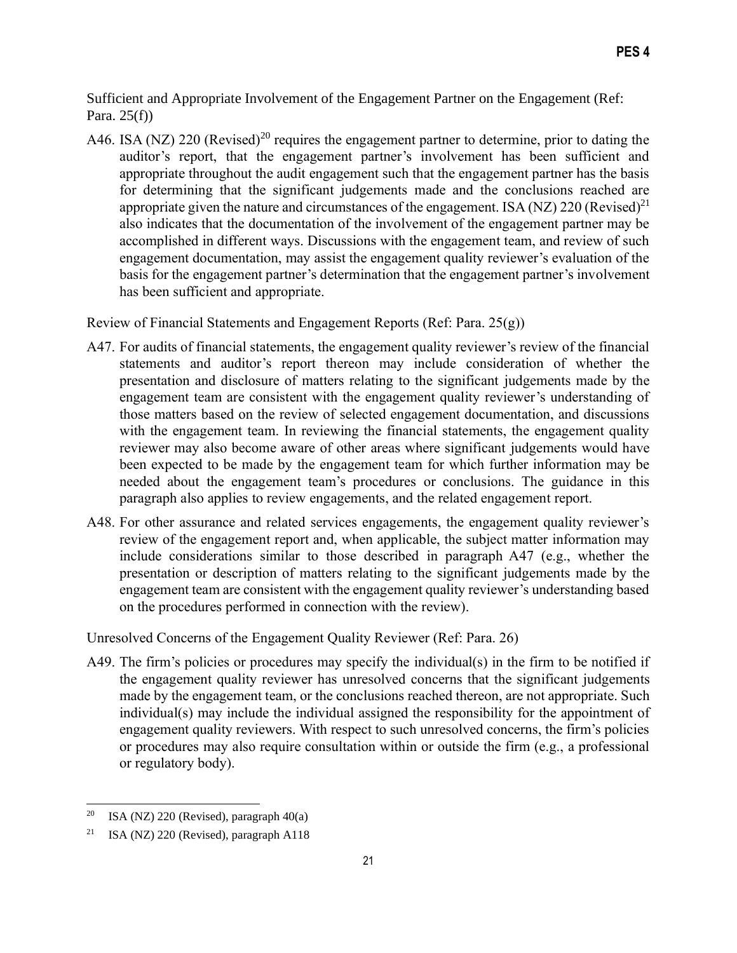Sufficient and Appropriate Involvement of the Engagement Partner on the Engagement (Ref: Para. 25(f))

A46. ISA (NZ) 220 (Revised)<sup>20</sup> requires the engagement partner to determine, prior to dating the auditor's report, that the engagement partner's involvement has been sufficient and appropriate throughout the audit engagement such that the engagement partner has the basis for determining that the significant judgements made and the conclusions reached are appropriate given the nature and circumstances of the engagement. ISA (NZ) 220 (Revised)<sup>21</sup> also indicates that the documentation of the involvement of the engagement partner may be accomplished in different ways. Discussions with the engagement team, and review of such engagement documentation, may assist the engagement quality reviewer's evaluation of the basis for the engagement partner's determination that the engagement partner's involvement has been sufficient and appropriate.

Review of Financial Statements and Engagement Reports (Ref: Para. 25(g))

- A47. For audits of financial statements, the engagement quality reviewer's review of the financial statements and auditor's report thereon may include consideration of whether the presentation and disclosure of matters relating to the significant judgements made by the engagement team are consistent with the engagement quality reviewer's understanding of those matters based on the review of selected engagement documentation, and discussions with the engagement team. In reviewing the financial statements, the engagement quality reviewer may also become aware of other areas where significant judgements would have been expected to be made by the engagement team for which further information may be needed about the engagement team's procedures or conclusions. The guidance in this paragraph also applies to review engagements, and the related engagement report.
- A48. For other assurance and related services engagements, the engagement quality reviewer's review of the engagement report and, when applicable, the subject matter information may include considerations similar to those described in paragraph A47 (e.g., whether the presentation or description of matters relating to the significant judgements made by the engagement team are consistent with the engagement quality reviewer's understanding based on the procedures performed in connection with the review).

Unresolved Concerns of the Engagement Quality Reviewer (Ref: Para. 26)

A49. The firm's policies or procedures may specify the individual(s) in the firm to be notified if the engagement quality reviewer has unresolved concerns that the significant judgements made by the engagement team, or the conclusions reached thereon, are not appropriate. Such individual(s) may include the individual assigned the responsibility for the appointment of engagement quality reviewers. With respect to such unresolved concerns, the firm's policies or procedures may also require consultation within or outside the firm (e.g., a professional or regulatory body).

<sup>&</sup>lt;sup>20</sup> ISA (NZ) 220 (Revised), paragraph  $40(a)$ 

<sup>&</sup>lt;sup>21</sup> ISA (NZ) 220 (Revised), paragraph A118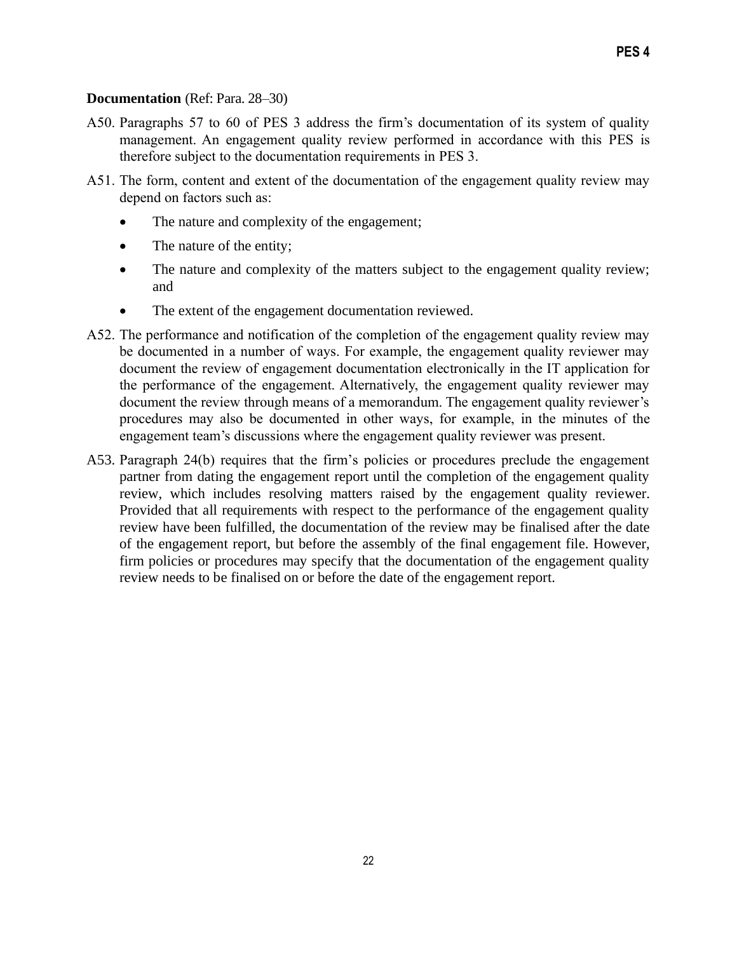#### **Documentation** (Ref: Para. 28–30)

- A50. Paragraphs 57 to 60 of PES 3 address the firm's documentation of its system of quality management. An engagement quality review performed in accordance with this PES is therefore subject to the documentation requirements in PES 3.
- A51. The form, content and extent of the documentation of the engagement quality review may depend on factors such as:
	- The nature and complexity of the engagement;
	- The nature of the entity;
	- The nature and complexity of the matters subject to the engagement quality review; and
	- The extent of the engagement documentation reviewed.
- A52. The performance and notification of the completion of the engagement quality review may be documented in a number of ways. For example, the engagement quality reviewer may document the review of engagement documentation electronically in the IT application for the performance of the engagement. Alternatively, the engagement quality reviewer may document the review through means of a memorandum. The engagement quality reviewer's procedures may also be documented in other ways, for example, in the minutes of the engagement team's discussions where the engagement quality reviewer was present.
- A53. Paragraph 24(b) requires that the firm's policies or procedures preclude the engagement partner from dating the engagement report until the completion of the engagement quality review, which includes resolving matters raised by the engagement quality reviewer. Provided that all requirements with respect to the performance of the engagement quality review have been fulfilled, the documentation of the review may be finalised after the date of the engagement report, but before the assembly of the final engagement file. However, firm policies or procedures may specify that the documentation of the engagement quality review needs to be finalised on or before the date of the engagement report.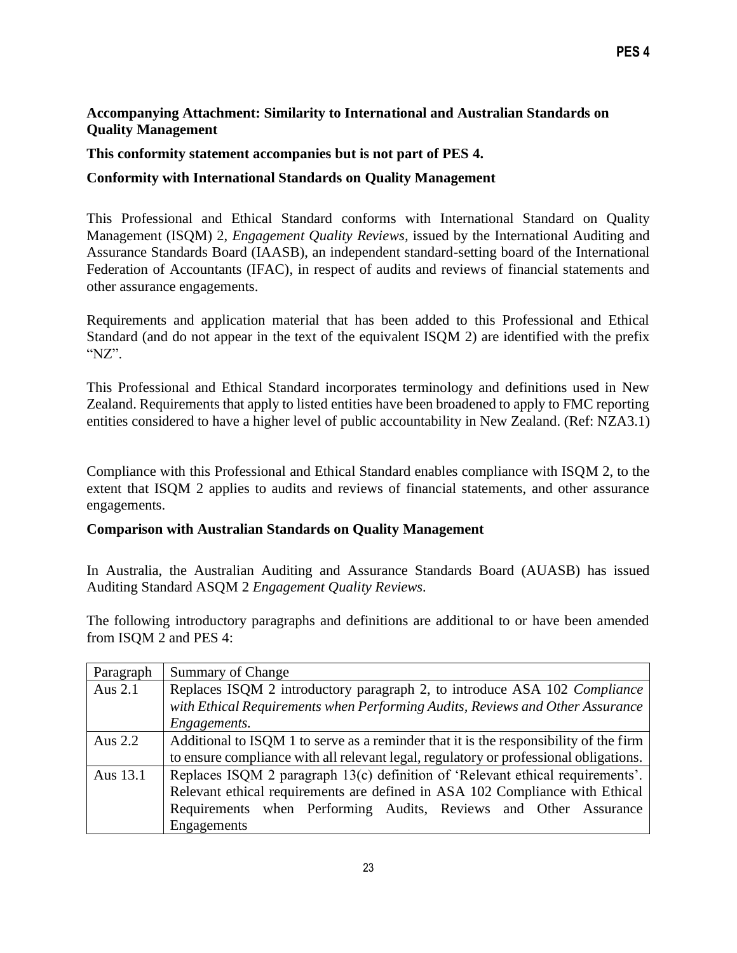## **Accompanying Attachment: Similarity to International and Australian Standards on Quality Management**

## **This conformity statement accompanies but is not part of PES 4.**

# **Conformity with International Standards on Quality Management**

This Professional and Ethical Standard conforms with International Standard on Quality Management (ISQM) 2, *Engagement Quality Reviews,* issued by the International Auditing and Assurance Standards Board (IAASB), an independent standard-setting board of the International Federation of Accountants (IFAC), in respect of audits and reviews of financial statements and other assurance engagements.

Requirements and application material that has been added to this Professional and Ethical Standard (and do not appear in the text of the equivalent ISQM 2) are identified with the prefix "NZ".

This Professional and Ethical Standard incorporates terminology and definitions used in New Zealand. Requirements that apply to listed entities have been broadened to apply to FMC reporting entities considered to have a higher level of public accountability in New Zealand. (Ref: NZA3.1)

Compliance with this Professional and Ethical Standard enables compliance with ISQM 2, to the extent that ISQM 2 applies to audits and reviews of financial statements, and other assurance engagements.

#### **Comparison with Australian Standards on Quality Management**

In Australia, the Australian Auditing and Assurance Standards Board (AUASB) has issued Auditing Standard ASQM 2 *Engagement Quality Reviews.*

The following introductory paragraphs and definitions are additional to or have been amended from ISQM 2 and PES 4:

| Paragraph | <b>Summary of Change</b>                                                              |  |
|-----------|---------------------------------------------------------------------------------------|--|
| Aus $2.1$ | Replaces ISQM 2 introductory paragraph 2, to introduce ASA 102 Compliance             |  |
|           | with Ethical Requirements when Performing Audits, Reviews and Other Assurance         |  |
|           | Engagements.                                                                          |  |
| Aus 2.2   | Additional to ISQM 1 to serve as a reminder that it is the responsibility of the firm |  |
|           | to ensure compliance with all relevant legal, regulatory or professional obligations. |  |
| Aus 13.1  | Replaces ISQM 2 paragraph 13(c) definition of 'Relevant ethical requirements'.        |  |
|           | Relevant ethical requirements are defined in ASA 102 Compliance with Ethical          |  |
|           | Requirements when Performing Audits, Reviews and Other Assurance                      |  |
|           | Engagements                                                                           |  |